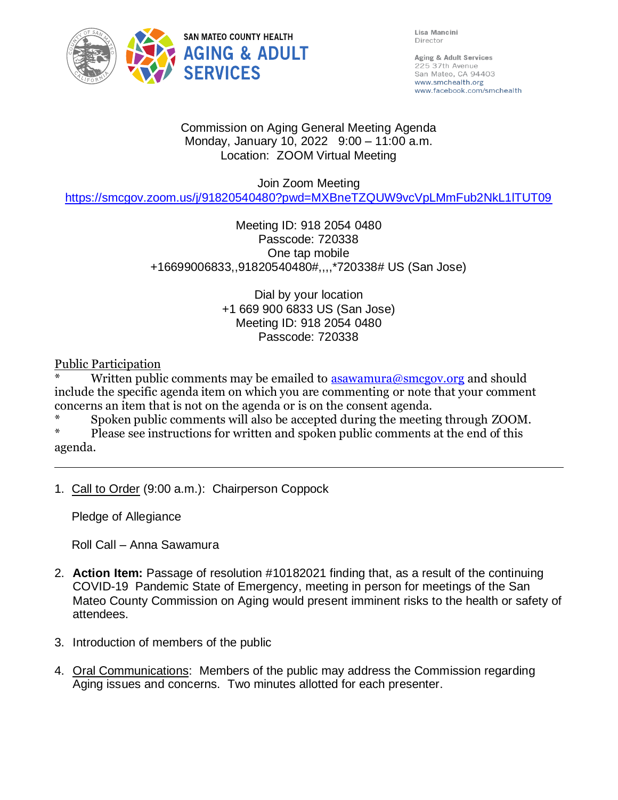

Lisa Mancini Director

Aging & Adult Services 225 37th Avenue San Mateo, CA 94403 www.smchealth.org www.facebook.com/smchealth

### Commission on Aging General Meeting Agenda Monday, January 10, 2022 9:00 – 11:00 a.m. Location: ZOOM Virtual Meeting

Join Zoom Meeting

<https://smcgov.zoom.us/j/91820540480?pwd=MXBneTZQUW9vcVpLMmFub2NkL1lTUT09>

Meeting ID: 918 2054 0480 Passcode: 720338 One tap mobile +16699006833,,91820540480#,,,,\*720338# US (San Jose)

> Dial by your location +1 669 900 6833 US (San Jose) Meeting ID: 918 2054 0480 Passcode: 720338

Public Participation

Written public comments may be emailed to  $\frac{1}{2}$  as awamura@smcgov.org and should include the specific agenda item on which you are commenting or note that your comment concerns an item that is not on the agenda or is on the consent agenda.

Spoken public comments will also be accepted during the meeting through ZOOM.

Please see instructions for written and spoken public comments at the end of this agenda.

1. Call to Order (9:00 a.m.): Chairperson Coppock

Pledge of Allegiance

Roll Call – Anna Sawamura

- 2. **Action Item:** Passage of resolution #10182021 finding that, as a result of the continuing COVID-19 Pandemic State of Emergency, meeting in person for meetings of the San Mateo County Commission on Aging would present imminent risks to the health or safety of attendees.
- 3. Introduction of members of the public
- 4. Oral Communications: Members of the public may address the Commission regarding Aging issues and concerns. Two minutes allotted for each presenter.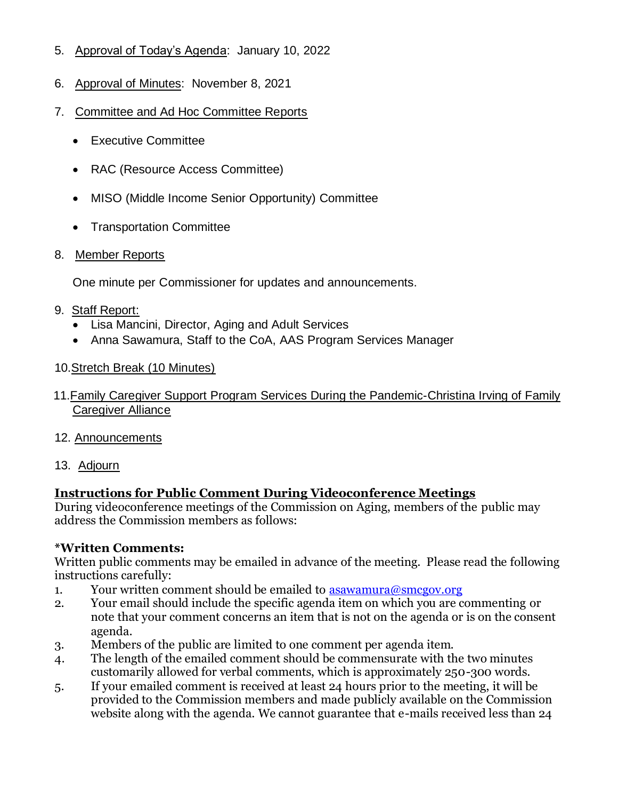- 5. Approval of Today's Agenda: January 10, 2022
- 6. Approval of Minutes: November 8, 2021
- 7. Committee and Ad Hoc Committee Reports
	- Executive Committee
	- RAC (Resource Access Committee)
	- MISO (Middle Income Senior Opportunity) Committee
	- Transportation Committee

# 8. Member Reports

One minute per Commissioner for updates and announcements.

### 9. Staff Report:

- Lisa Mancini, Director, Aging and Adult Services
- Anna Sawamura, Staff to the CoA, AAS Program Services Manager
- 10.Stretch Break (10 Minutes)
- 11.Family Caregiver Support Program Services During the Pandemic-Christina Irving of Family Caregiver Alliance
- 12. Announcements
- 13. Adjourn

# **Instructions for Public Comment During Videoconference Meetings**

During videoconference meetings of the Commission on Aging, members of the public may address the Commission members as follows:

# **\*Written Comments:**

Written public comments may be emailed in advance of the meeting. Please read the following instructions carefully:

- 1. Your written comment should be emailed to  $\alpha$  as awamura  $\omega$  smcgov.org
- 2. Your email should include the specific agenda item on which you are commenting or note that your comment concerns an item that is not on the agenda or is on the consent agenda.
- 3. Members of the public are limited to one comment per agenda item.
- 4. The length of the emailed comment should be commensurate with the two minutes customarily allowed for verbal comments, which is approximately 250-300 words.
- 5. If your emailed comment is received at least 24 hours prior to the meeting, it will be provided to the Commission members and made publicly available on the Commission website along with the agenda. We cannot guarantee that e-mails received less than 24